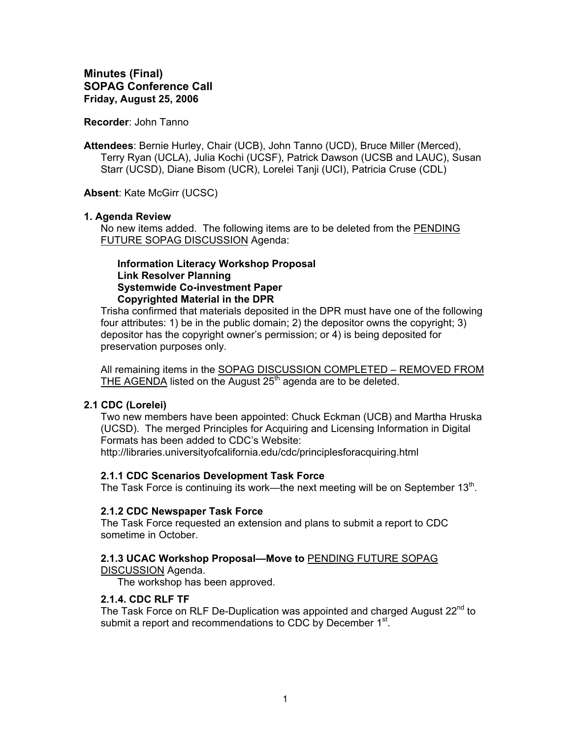### **Recorder**: John Tanno

**Attendees**: Bernie Hurley, Chair (UCB), John Tanno (UCD), Bruce Miller (Merced), Terry Ryan (UCLA), Julia Kochi (UCSF), Patrick Dawson (UCSB and LAUC), Susan Starr (UCSD), Diane Bisom (UCR), Lorelei Tanji (UCI), Patricia Cruse (CDL)

**Absent**: Kate McGirr (UCSC)

## **1. Agenda Review**

No new items added. The following items are to be deleted from the PENDING FUTURE SOPAG DISCUSSION Agenda:

### **Information Literacy Workshop Proposal Link Resolver Planning Systemwide Co-investment Paper Copyrighted Material in the DPR**

Trisha confirmed that materials deposited in the DPR must have one of the following four attributes: 1) be in the public domain; 2) the depositor owns the copyright; 3) depositor has the copyright owner's permission; or 4) is being deposited for preservation purposes only.

All remaining items in the SOPAG DISCUSSION COMPLETED - REMOVED FROM THE AGENDA listed on the August  $25<sup>th</sup>$  agenda are to be deleted.

# **2.1 CDC (Lorelei)**

Two new members have been appointed: Chuck Eckman (UCB) and Martha Hruska (UCSD). The merged Principles for Acquiring and Licensing Information in Digital Formats has been added to CDC's Website: http://libraries.universityofcalifornia.edu/cdc/principlesforacquiring.html

### **2.1.1 CDC Scenarios Development Task Force**

The Task Force is continuing its work—the next meeting will be on September 13<sup>th</sup>.

### **2.1.2 CDC Newspaper Task Force**

The Task Force requested an extension and plans to submit a report to CDC sometime in October.

# **2.1.3 UCAC Workshop Proposal—Move to** PENDING FUTURE SOPAG

DISCUSSION Agenda.

The workshop has been approved.

# **2.1.4. CDC RLF TF**

The Task Force on RLF De-Duplication was appointed and charged August  $22^{nd}$  to submit a report and recommendations to CDC by December 1<sup>st</sup>.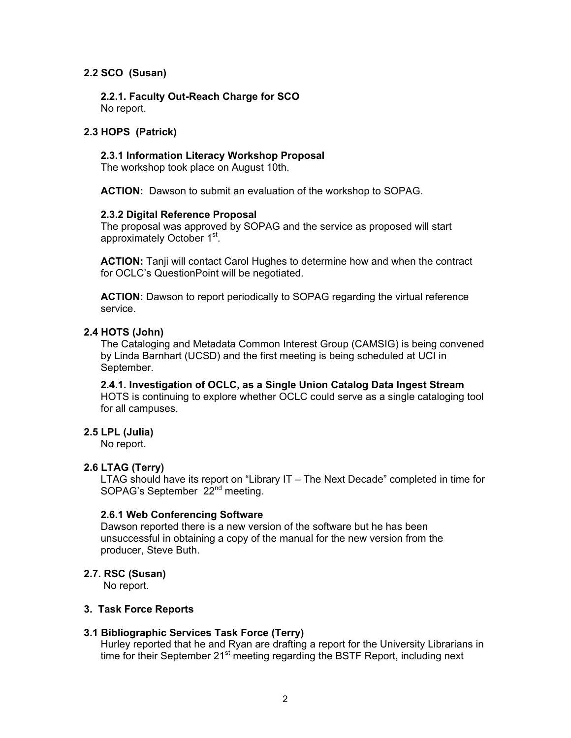# **2.2 SCO (Susan)**

**2.2.1. Faculty Out-Reach Charge for SCO**  No report.

## **2.3 HOPS (Patrick)**

### **2.3.1 Information Literacy Workshop Proposal**

The workshop took place on August 10th.

**ACTION:** Dawson to submit an evaluation of the workshop to SOPAG.

### **2.3.2 Digital Reference Proposal**

The proposal was approved by SOPAG and the service as proposed will start approximately October 1<sup>st</sup>.

**ACTION:** Tanji will contact Carol Hughes to determine how and when the contract for OCLC's QuestionPoint will be negotiated.

**ACTION:** Dawson to report periodically to SOPAG regarding the virtual reference service.

## **2.4 HOTS (John)**

The Cataloging and Metadata Common Interest Group (CAMSIG) is being convened by Linda Barnhart (UCSD) and the first meeting is being scheduled at UCI in September.

**2.4.1. Investigation of OCLC, as a Single Union Catalog Data Ingest Stream**  HOTS is continuing to explore whether OCLC could serve as a single cataloging tool for all campuses.

# **2.5 LPL (Julia)**

No report.

# **2.6 LTAG (Terry)**

LTAG should have its report on "Library IT – The Next Decade" completed in time for SOPAG's September 22<sup>nd</sup> meeting.

### **2.6.1 Web Conferencing Software**

Dawson reported there is a new version of the software but he has been unsuccessful in obtaining a copy of the manual for the new version from the producer, Steve Buth.

### **2.7. RSC (Susan)**

No report.

### **3. Task Force Reports**

### **3.1 Bibliographic Services Task Force (Terry)**

Hurley reported that he and Ryan are drafting a report for the University Librarians in time for their September  $21<sup>st</sup>$  meeting regarding the BSTF Report, including next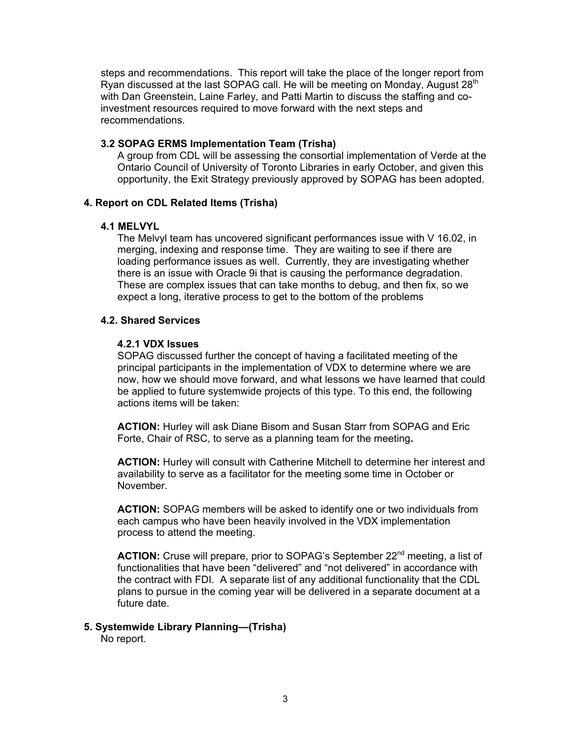steps and recommendations. This report will take the place of the longer report from Ryan discussed at the last SOPAG call. He will be meeting on Monday, August  $28<sup>th</sup>$ with Dan Greenstein, Laine Farley, and Patti Martin to discuss the staffing and coinvestment resources required to move forward with the next steps and recommendations.

## **3.2 SOPAG ERMS Implementation Team (Trisha)**

A group from CDL will be assessing the consortial implementation of Verde at the Ontario Council of University of Toronto Libraries in early October, and given this opportunity, the Exit Strategy previously approved by SOPAG has been adopted.

# **4. Report on CDL Related Items (Trisha)**

## **4.1 MELVYL**

The Melvyl team has uncovered significant performances issue with V 16.02, in merging, indexing and response time. They are waiting to see if there are loading performance issues as well. Currently, they are investigating whether there is an issue with Oracle 9i that is causing the performance degradation. These are complex issues that can take months to debug, and then fix, so we expect a long, iterative process to get to the bottom of the problems

## **4.2. Shared Services**

## **4.2.1 VDX Issues**

SOPAG discussed further the concept of having a facilitated meeting of the principal participants in the implementation of VDX to determine where we are now, how we should move forward, and what lessons we have learned that could be applied to future systemwide projects of this type. To this end, the following actions items will be taken:

**ACTION:** Hurley will ask Diane Bisom and Susan Starr from SOPAG and Eric Forte, Chair of RSC, to serve as a planning team for the meeting**.** 

**ACTION:** Hurley will consult with Catherine Mitchell to determine her interest and availability to serve as a facilitator for the meeting some time in October or November.

**ACTION:** SOPAG members will be asked to identify one or two individuals from each campus who have been heavily involved in the VDX implementation process to attend the meeting.

ACTION: Cruse will prepare, prior to SOPAG's September 22<sup>nd</sup> meeting, a list of functionalities that have been "delivered" and "not delivered" in accordance with the contract with FDI. A separate list of any additional functionality that the CDL plans to pursue in the coming year will be delivered in a separate document at a future date.

# **5. Systemwide Library Planning—(Trisha)**

No report.